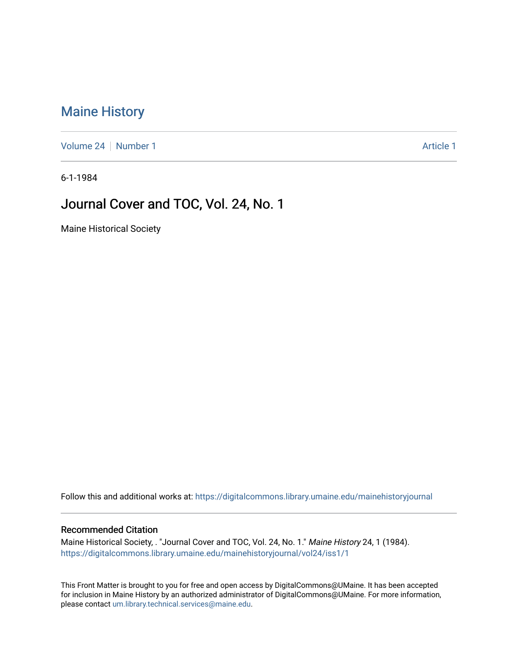## [Maine History](https://digitalcommons.library.umaine.edu/mainehistoryjournal)

[Volume 24](https://digitalcommons.library.umaine.edu/mainehistoryjournal/vol24) | [Number 1](https://digitalcommons.library.umaine.edu/mainehistoryjournal/vol24/iss1) [Article 1](https://digitalcommons.library.umaine.edu/mainehistoryjournal/vol24/iss1/1) Article 1 Article 1 Article 1 Article 1 Article 1

6-1-1984

## Journal Cover and TOC, Vol. 24, No. 1

Maine Historical Society

Follow this and additional works at: [https://digitalcommons.library.umaine.edu/mainehistoryjournal](https://digitalcommons.library.umaine.edu/mainehistoryjournal?utm_source=digitalcommons.library.umaine.edu%2Fmainehistoryjournal%2Fvol24%2Fiss1%2F1&utm_medium=PDF&utm_campaign=PDFCoverPages) 

#### Recommended Citation

Maine Historical Society, . "Journal Cover and TOC, Vol. 24, No. 1." Maine History 24, 1 (1984). [https://digitalcommons.library.umaine.edu/mainehistoryjournal/vol24/iss1/1](https://digitalcommons.library.umaine.edu/mainehistoryjournal/vol24/iss1/1?utm_source=digitalcommons.library.umaine.edu%2Fmainehistoryjournal%2Fvol24%2Fiss1%2F1&utm_medium=PDF&utm_campaign=PDFCoverPages)

This Front Matter is brought to you for free and open access by DigitalCommons@UMaine. It has been accepted for inclusion in Maine History by an authorized administrator of DigitalCommons@UMaine. For more information, please contact [um.library.technical.services@maine.edu.](mailto:um.library.technical.services@maine.edu)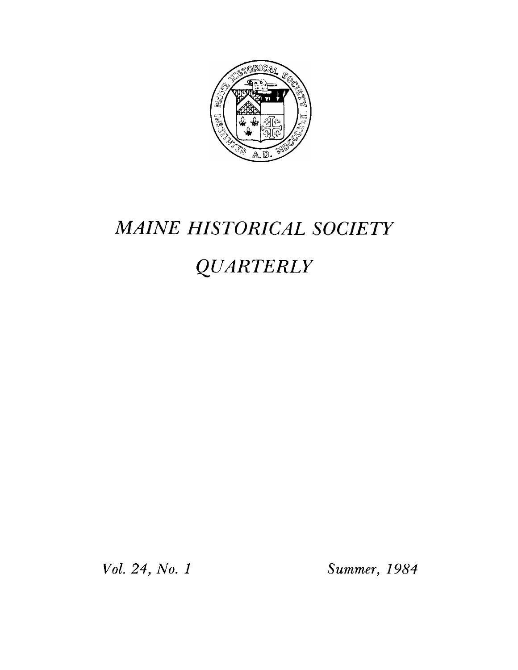

## *MAINE HISTORICAL SOCIETY*

# *QUARTERLY*

*Vol. 24, No. 1 Summer, 1984*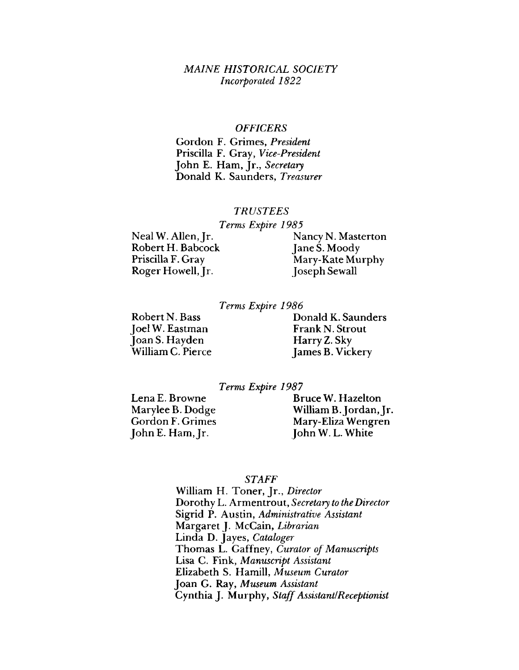#### *M AINE HISTORICAL SOCIETY Incorporated 1822*

#### *OFFICERS*

Gordon F. Grimes, *President* Priscilla F. Gray, *Vice-President* John E. Ham, Jr., *Secretary* Donald K. Saunders, *Treasurer*

#### *TRUSTEES*

*Terms Expire 1985*

Robert H. Babcock<br>Priscilla F. Gray Roger Howell, Jr. Joseph Sewall

Neal W. Allen, Jr.<br>
Robert H. Babcock (ane S. Moody Mary-Kate Murphy

#### *Terms Expire 1986*

Robert N. Bass Joel W. Eastman Joan S. Hayden William C. Pierce

Donald K. Saunders Frank N. Strout Harry Z. Sky James B. Vickery

#### *Terms Expire 1987*

Lena E. Browne Marylee B. Dodge Gordon F. Grimes JohnE. Ham, Jr.

Bruce W. Hazelton William B. Jordan, Jr. Mary-Eliza Wengren JohnW. L. White

#### *STAFF*

William H. Toner, Jr., *Director* Dorothy L. Armentrout, *Secretary to the Director* Sigrid P. Austin, *Administrative Assistant* Margaret J. McCain, *Librarian* Linda D. Jayes, *Cataloger* Thomas L. Gaffney, *Curator of Manuscripts* Lisa C. Fink, *Manuscript Assistant* Elizabeth S. Hamill, *Museum Curator* Joan G. Ray, *Museum Assistant* Cynthia J. Murphy, *Staff Assistant!Receptionist*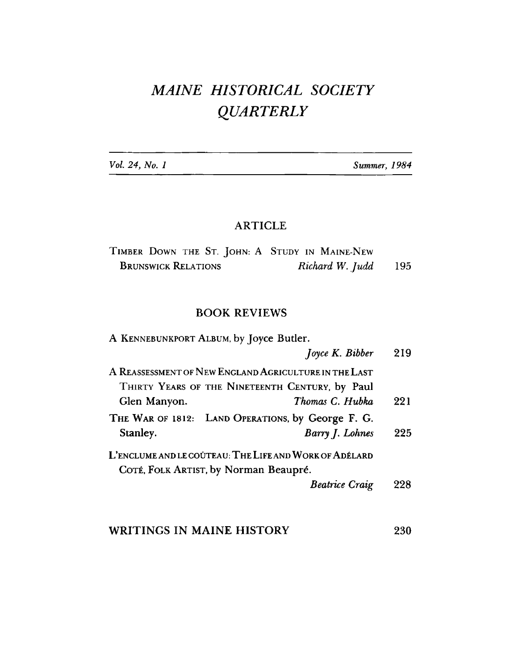## MAINE HISTORICAL SOCIETY **QUARTERLY**

Vol. 24, No. 1

Summer, 1984

### **ARTICLE**

| TIMBER DOWN THE ST. JOHN: A STUDY IN MAINE-NEW |                 |     |
|------------------------------------------------|-----------------|-----|
| <b>BRUNSWICK RELATIONS</b>                     | Richard W. Judd | 195 |

### **BOOK REVIEWS**

| A KENNEBUNKPORT ALBUM, by Joyce Butler. |                                                        |     |
|-----------------------------------------|--------------------------------------------------------|-----|
|                                         | Joyce K. Bibber                                        | 219 |
|                                         | A REASSESSMENT OF NEW ENGLAND AGRICULTURE IN THE LAST  |     |
|                                         | THIRTY YEARS OF THE NINETEENTH CENTURY, by Paul        |     |
| Glen Manyon.                            | Thomas C. Hubka                                        | 221 |
|                                         | THE WAR OF 1812: LAND OPERATIONS, by George F. G.      |     |
| Stanley.                                | Barry J. Lohnes                                        | 225 |
|                                         | L'ENCLUME AND LE COÛTEAU: THE LIFE AND WORK OF ADÉLARD |     |
|                                         | COTÉ, FOLK ARTIST, by Norman Beaupré.                  |     |
|                                         | <b>Beatrice Craig</b>                                  | 998 |
|                                         |                                                        |     |

#### WRITINGS IN MAINE HISTORY 230